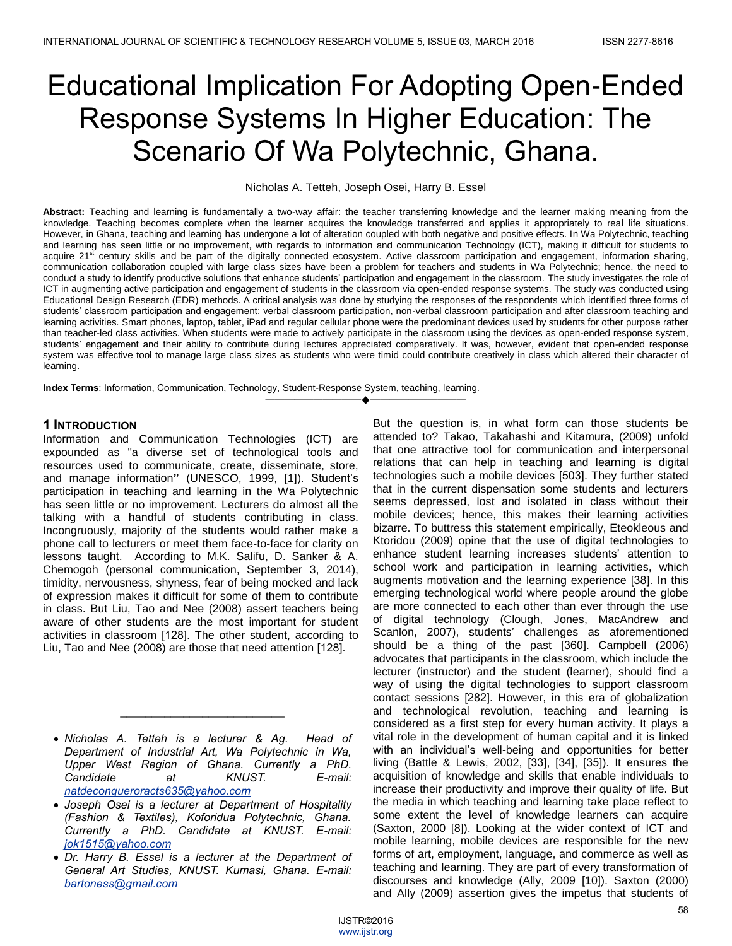# Educational Implication For Adopting Open-Ended Response Systems In Higher Education: The Scenario Of Wa Polytechnic, Ghana.

Nicholas A. Tetteh, Joseph Osei, Harry B. Essel

**Abstract:** Teaching and learning is fundamentally a two-way affair: the teacher transferring knowledge and the learner making meaning from the knowledge. Teaching becomes complete when the learner acquires the knowledge transferred and applies it appropriately to real life situations. However, in Ghana, teaching and learning has undergone a lot of alteration coupled with both negative and positive effects. In Wa Polytechnic, teaching and learning has seen little or no improvement, with regards to information and communication Technology (ICT), making it difficult for students to acquire 21<sup>st</sup> century skills and be part of the digitally connected ecosystem. Active classroom participation and engagement, information sharing, communication collaboration coupled with large class sizes have been a problem for teachers and students in Wa Polytechnic; hence, the need to conduct a study to identify productive solutions that enhance students' participation and engagement in the classroom. The study investigates the role of ICT in augmenting active participation and engagement of students in the classroom via open-ended response systems. The study was conducted using Educational Design Research (EDR) methods. A critical analysis was done by studying the responses of the respondents which identified three forms of students' classroom participation and engagement: verbal classroom participation, non-verbal classroom participation and after classroom teaching and learning activities. Smart phones, laptop, tablet, iPad and regular cellular phone were the predominant devices used by students for other purpose rather than teacher-led class activities. When students were made to actively participate in the classroom using the devices as open-ended response system, students' engagement and their ability to contribute during lectures appreciated comparatively. It was, however, evident that open-ended response system was effective tool to manage large class sizes as students who were timid could contribute creatively in class which altered their character of learning.

————————————————————

**Index Terms**: Information, Communication, Technology, Student-Response System, teaching, learning.

#### **1 INTRODUCTION**

Information and Communication Technologies (ICT) are expounded as "a diverse set of technological tools and resources used to communicate, create, disseminate, store, and manage information**"** (UNESCO, 1999, [1]). Student's participation in teaching and learning in the Wa Polytechnic has seen little or no improvement. Lecturers do almost all the talking with a handful of students contributing in class. Incongruously, majority of the students would rather make a phone call to lecturers or meet them face-to-face for clarity on lessons taught. According to M.K. Salifu, D. Sanker & A. Chemogoh (personal communication, September 3, 2014), timidity, nervousness, shyness, fear of being mocked and lack of expression makes it difficult for some of them to contribute in class. But Liu, Tao and Nee (2008) assert teachers being aware of other students are the most important for student activities in classroom [128]. The other student, according to Liu, Tao and Nee (2008) are those that need attention [128].

 *Nicholas A. Tetteh is a lecturer & Ag. Head of Department of Industrial Art, Wa Polytechnic in Wa, Upper West Region of Ghana. Currently a PhD. Candidate at KNUST. E-mail: natdeconqueroracts635@yahoo.com*

 $\overline{\phantom{a}}$  , where  $\overline{\phantom{a}}$  , where  $\overline{\phantom{a}}$  , where  $\overline{\phantom{a}}$ 

- *Joseph Osei is a lecturer at Department of Hospitality (Fashion & Textiles), Koforidua Polytechnic, Ghana. Currently a PhD. Candidate at KNUST. E-mail: jok1515@yahoo.com*
- *Dr. Harry B. Essel is a lecturer at the Department of General Art Studies, KNUST. Kumasi, Ghana. E-mail: bartoness@gmail.com*

But the question is, in what form can those students be attended to? Takao, Takahashi and Kitamura, (2009) unfold that one attractive tool for communication and interpersonal relations that can help in teaching and learning is digital technologies such a mobile devices [503]. They further stated that in the current dispensation some students and lecturers seems depressed, lost and isolated in class without their mobile devices; hence, this makes their learning activities bizarre. To buttress this statement empirically, Eteokleous and Ktoridou (2009) opine that the use of digital technologies to enhance student learning increases students' attention to school work and participation in learning activities, which augments motivation and the learning experience [38]. In this emerging technological world where people around the globe are more connected to each other than ever through the use of digital technology (Clough, Jones, MacAndrew and Scanlon, 2007), students' challenges as aforementioned should be a thing of the past [360]. Campbell (2006) advocates that participants in the classroom, which include the lecturer (instructor) and the student (learner), should find a way of using the digital technologies to support classroom contact sessions [282]. However, in this era of globalization and technological revolution, teaching and learning is considered as a first step for every human activity. It plays a vital role in the development of human capital and it is linked with an individual's well-being and opportunities for better living (Battle & Lewis, 2002, [33], [34], [35]). It ensures the acquisition of knowledge and skills that enable individuals to increase their productivity and improve their quality of life. But the media in which teaching and learning take place reflect to some extent the level of knowledge learners can acquire (Saxton, 2000 [8]). Looking at the wider context of ICT and mobile learning, mobile devices are responsible for the new forms of art, employment, language, and commerce as well as teaching and learning. They are part of every transformation of discourses and knowledge (Ally, 2009 [10]). Saxton (2000) and Ally (2009) assertion gives the impetus that students of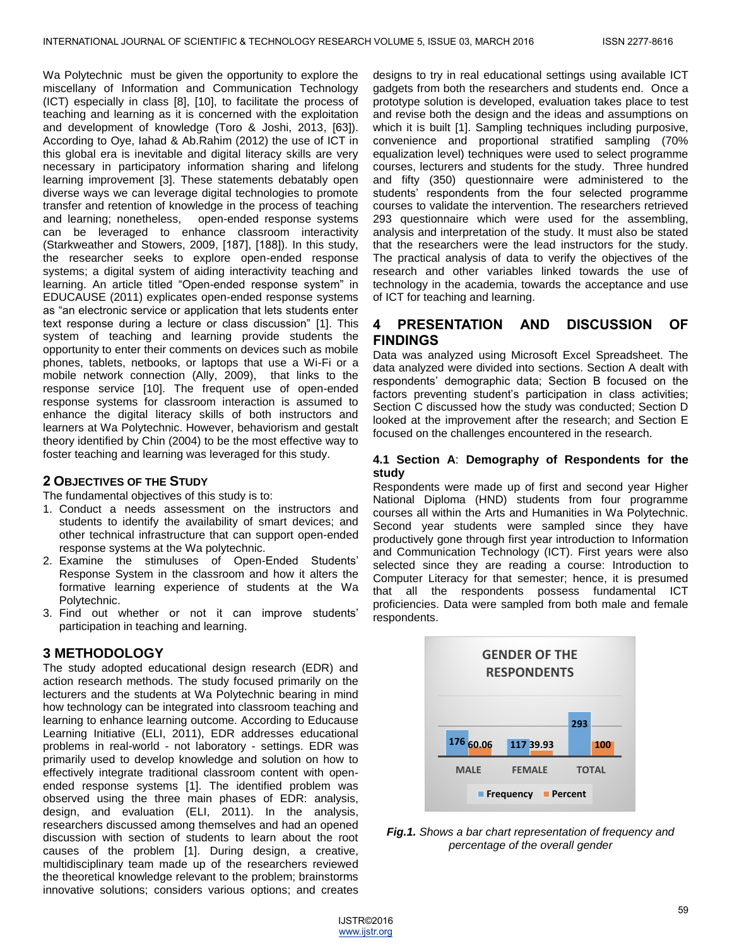Wa Polytechnic must be given the opportunity to explore the miscellany of Information and Communication Technology (ICT) especially in class [8], [10], to facilitate the process of teaching and learning as it is concerned with the exploitation and development of knowledge (Toro & Joshi, 2013, [63]). According to Oye, Iahad & Ab.Rahim (2012) the use of ICT in this global era is inevitable and digital literacy skills are very necessary in participatory information sharing and lifelong learning improvement [3]. These statements debatably open diverse ways we can leverage digital technologies to promote transfer and retention of knowledge in the process of teaching and learning; nonetheless, open-ended response systems can be leveraged to enhance classroom interactivity (Starkweather and Stowers, 2009, [187], [188]). In this study, the researcher seeks to explore open-ended response systems; a digital system of aiding interactivity teaching and learning. An article titled "Open-ended response system" in EDUCAUSE (2011) explicates open-ended response systems as "an electronic service or application that lets students enter text response during a lecture or class discussion" [1]. This system of teaching and learning provide students the opportunity to enter their comments on devices such as mobile phones, tablets, netbooks, or laptops that use a Wi-Fi or a mobile network connection (Ally, 2009), that links to the response service [10]. The frequent use of open-ended response systems for classroom interaction is assumed to enhance the digital literacy skills of both instructors and learners at Wa Polytechnic. However, behaviorism and gestalt theory identified by Chin (2004) to be the most effective way to foster teaching and learning was leveraged for this study.

## **2 OBJECTIVES OF THE STUDY**

The fundamental objectives of this study is to:

- 1. Conduct a needs assessment on the instructors and students to identify the availability of smart devices; and other technical infrastructure that can support open-ended response systems at the Wa polytechnic.
- 2. Examine the stimuluses of Open-Ended Students' Response System in the classroom and how it alters the formative learning experience of students at the Wa Polytechnic.
- 3. Find out whether or not it can improve students' participation in teaching and learning.

# **3 METHODOLOGY**

The study adopted educational design research (EDR) and action research methods. The study focused primarily on the lecturers and the students at Wa Polytechnic bearing in mind how technology can be integrated into classroom teaching and learning to enhance learning outcome. According to Educause Learning Initiative (ELI, 2011), EDR addresses educational problems in real-world - not laboratory - settings. EDR was primarily used to develop knowledge and solution on how to effectively integrate traditional classroom content with openended response systems [1]. The identified problem was observed using the three main phases of EDR: analysis, design, and evaluation (ELI, 2011). In the analysis, researchers discussed among themselves and had an opened discussion with section of students to learn about the root causes of the problem [1]. During design, a creative, multidisciplinary team made up of the researchers reviewed the theoretical knowledge relevant to the problem; brainstorms innovative solutions; considers various options; and creates

designs to try in real educational settings using available ICT gadgets from both the researchers and students end. Once a prototype solution is developed, evaluation takes place to test and revise both the design and the ideas and assumptions on which it is built [1]. Sampling techniques including purposive, convenience and proportional stratified sampling (70% equalization level) techniques were used to select programme courses, lecturers and students for the study. Three hundred and fifty (350) questionnaire were administered to the students' respondents from the four selected programme courses to validate the intervention. The researchers retrieved 293 questionnaire which were used for the assembling, analysis and interpretation of the study. It must also be stated that the researchers were the lead instructors for the study. The practical analysis of data to verify the objectives of the research and other variables linked towards the use of technology in the academia, towards the acceptance and use of ICT for teaching and learning.

# **4 PRESENTATION AND DISCUSSION OF FINDINGS**

Data was analyzed using Microsoft Excel Spreadsheet. The data analyzed were divided into sections. Section A dealt with respondents' demographic data; Section B focused on the factors preventing student's participation in class activities; Section C discussed how the study was conducted; Section D looked at the improvement after the research; and Section E focused on the challenges encountered in the research.

#### **4.1 Section A**: **Demography of Respondents for the study**

Respondents were made up of first and second year Higher National Diploma (HND) students from four programme courses all within the Arts and Humanities in Wa Polytechnic. Second year students were sampled since they have productively gone through first year introduction to Information and Communication Technology (ICT). First years were also selected since they are reading a course: Introduction to Computer Literacy for that semester; hence, it is presumed that all the respondents possess fundamental ICT proficiencies. Data were sampled from both male and female respondents.



*Fig.1. Shows a bar chart representation of frequency and percentage of the overall gender* 

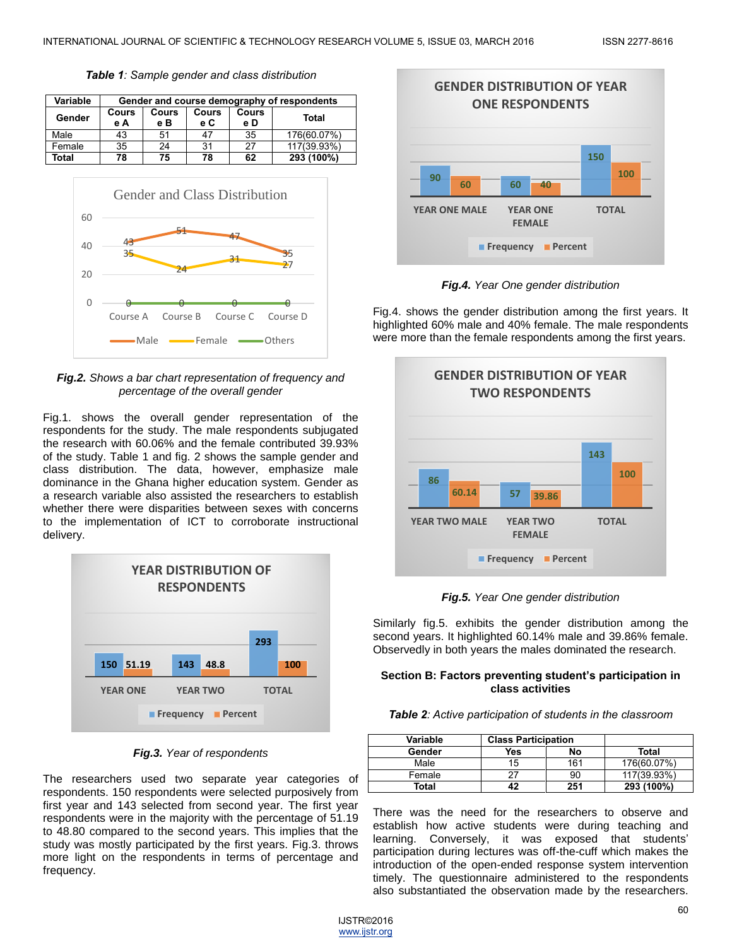*Table 1: Sample gender and class distribution*

| Variable | Gender and course demography of respondents |              |              |              |             |  |
|----------|---------------------------------------------|--------------|--------------|--------------|-------------|--|
| Gender   | <b>Cours</b><br>e A                         | Cours<br>e B | Cours<br>e C | Cours<br>e D | Total       |  |
| Male     | 43                                          | 51           | 47           | 35           | 176(60.07%) |  |
| Female   | 35                                          | 24           | 31           | 27           | 117(39.93%) |  |
| Total    | 78                                          | 75           | 78           | 62           | 293 (100%)  |  |



*Fig.2. Shows a bar chart representation of frequency and percentage of the overall gender* 

Fig.1. shows the overall gender representation of the respondents for the study. The male respondents subjugated the research with 60.06% and the female contributed 39.93% of the study. Table 1 and fig. 2 shows the sample gender and class distribution. The data, however, emphasize male dominance in the Ghana higher education system. Gender as a research variable also assisted the researchers to establish whether there were disparities between sexes with concerns to the implementation of ICT to corroborate instructional delivery.



## *Fig.3. Year of respondents*

The researchers used two separate year categories of respondents. 150 respondents were selected purposively from first year and 143 selected from second year. The first year respondents were in the majority with the percentage of 51.19 to 48.80 compared to the second years. This implies that the study was mostly participated by the first years. Fig.3. throws more light on the respondents in terms of percentage and frequency.



*Fig.4. Year One gender distribution*

Fig.4. shows the gender distribution among the first years. It highlighted 60% male and 40% female. The male respondents were more than the female respondents among the first years.



*Fig.5. Year One gender distribution*

Similarly fig.5. exhibits the gender distribution among the second years. It highlighted 60.14% male and 39.86% female. Observedly in both years the males dominated the research.

#### **Section B: Factors preventing student's participation in class activities**

| <b>Table 2:</b> Active participation of students in the classroom |  |  |  |  |  |
|-------------------------------------------------------------------|--|--|--|--|--|
|-------------------------------------------------------------------|--|--|--|--|--|

| Variable | <b>Class Participation</b> |     |             |
|----------|----------------------------|-----|-------------|
| Gender   | Yes                        | No  | Total       |
| Male     | 15                         | 161 | 176(60.07%) |
| Female   |                            | 90  | 117(39.93%) |
| Total    |                            | 251 | 293 (100%)  |

There was the need for the researchers to observe and establish how active students were during teaching and learning. Conversely, it was exposed that students' participation during lectures was off-the-cuff which makes the introduction of the open-ended response system intervention timely. The questionnaire administered to the respondents also substantiated the observation made by the researchers.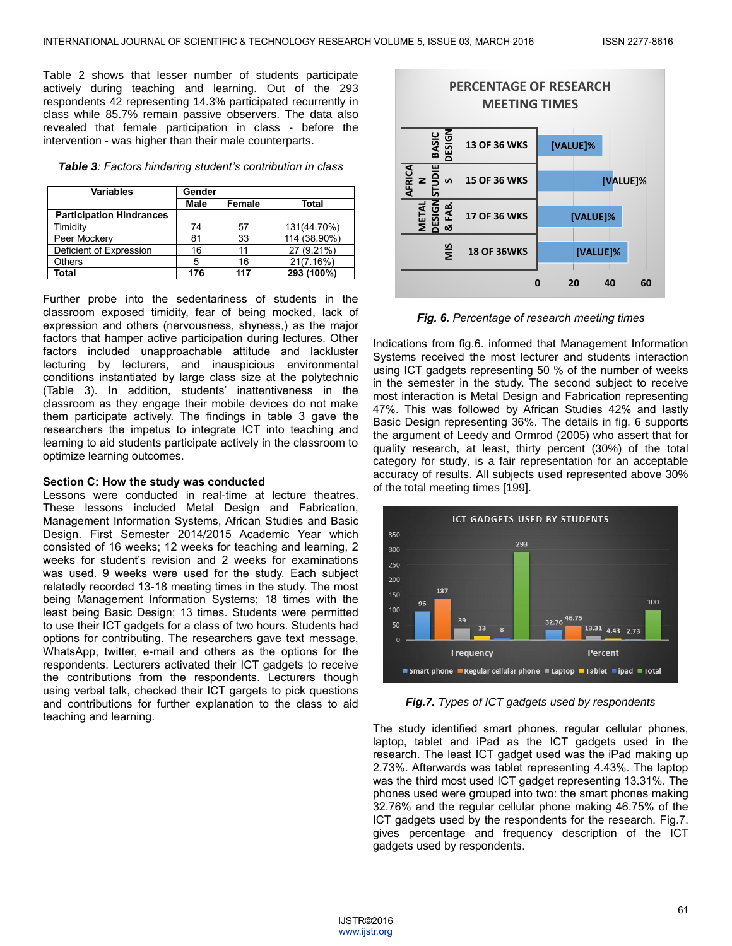Table 2 shows that lesser number of students participate actively during teaching and learning. Out of the 293 respondents 42 representing 14.3% participated recurrently in class while 85.7% remain passive observers. The data also revealed that female participation in class - before the intervention - was higher than their male counterparts.

*Table 3: Factors hindering student's contribution in class*

| <b>Variables</b>                | Gender |        |              |
|---------------------------------|--------|--------|--------------|
|                                 | Male   | Female | <b>Total</b> |
| <b>Participation Hindrances</b> |        |        |              |
| Timidity                        | 74     | 57     | 131(44.70%)  |
| Peer Mockery                    | 81     | 33     | 114 (38.90%) |
| Deficient of Expression         | 16     | 11     | 27 (9.21%)   |
| <b>Others</b>                   | 5      | 16     | 21(7.16%)    |
| Total                           | 176    | 117    | 293 (100%)   |

Further probe into the sedentariness of students in the classroom exposed timidity, fear of being mocked, lack of expression and others (nervousness, shyness,) as the major factors that hamper active participation during lectures. Other factors included unapproachable attitude and lackluster lecturing by lecturers, and inauspicious environmental conditions instantiated by large class size at the polytechnic (Table 3). In addition, students' inattentiveness in the classroom as they engage their mobile devices do not make them participate actively. The findings in table 3 gave the researchers the impetus to integrate ICT into teaching and learning to aid students participate actively in the classroom to optimize learning outcomes.

#### **Section C: How the study was conducted**

Lessons were conducted in real-time at lecture theatres. These lessons included Metal Design and Fabrication, Management Information Systems, African Studies and Basic Design. First Semester 2014/2015 Academic Year which consisted of 16 weeks; 12 weeks for teaching and learning, 2 weeks for student's revision and 2 weeks for examinations was used. 9 weeks were used for the study. Each subject relatedly recorded 13-18 meeting times in the study. The most being Management Information Systems; 18 times with the least being Basic Design; 13 times. Students were permitted to use their ICT gadgets for a class of two hours. Students had options for contributing. The researchers gave text message, WhatsApp, twitter, e-mail and others as the options for the respondents. Lecturers activated their ICT gadgets to receive the contributions from the respondents. Lecturers though using verbal talk, checked their ICT gargets to pick questions and contributions for further explanation to the class to aid teaching and learning.



*Fig. 6. Percentage of research meeting times*

Indications from fig.6. informed that Management Information Systems received the most lecturer and students interaction using ICT gadgets representing 50 % of the number of weeks in the semester in the study. The second subject to receive most interaction is Metal Design and Fabrication representing 47%. This was followed by African Studies 42% and lastly Basic Design representing 36%. The details in fig. 6 supports the argument of Leedy and Ormrod (2005) who assert that for quality research, at least, thirty percent (30%) of the total category for study, is a fair representation for an acceptable accuracy of results. All subjects used represented above 30% of the total meeting times [199].



*Fig.7. Types of ICT gadgets used by respondents*

The study identified smart phones, regular cellular phones, laptop, tablet and iPad as the ICT gadgets used in the research. The least ICT gadget used was the iPad making up 2.73%. Afterwards was tablet representing 4.43%. The laptop was the third most used ICT gadget representing 13.31%. The phones used were grouped into two: the smart phones making 32.76% and the regular cellular phone making 46.75% of the ICT gadgets used by the respondents for the research. Fig.7. gives percentage and frequency description of the ICT gadgets used by respondents.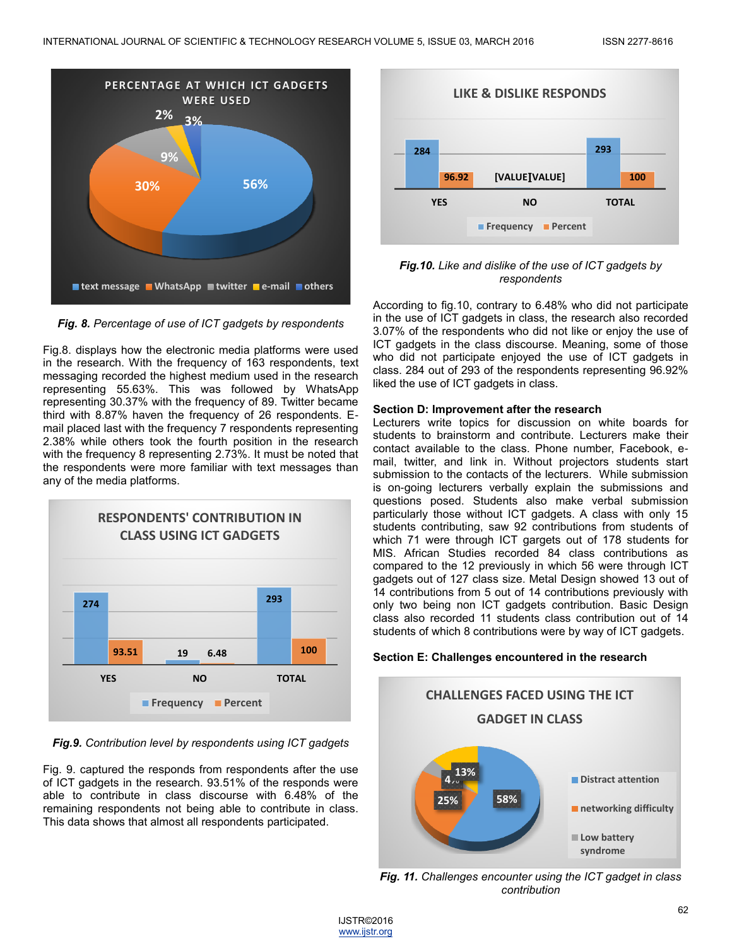

*Fig. 8. Percentage of use of ICT gadgets by respondents*

Fig.8. displays how the electronic media platforms were used in the research. With the frequency of 163 respondents, text messaging recorded the highest medium used in the research representing 55.63%. This was followed by WhatsApp representing 30.37% with the frequency of 89. Twitter became third with 8.87% haven the frequency of 26 respondents. Email placed last with the frequency 7 respondents representing 2.38% while others took the fourth position in the research with the frequency 8 representing 2.73%. It must be noted that the respondents were more familiar with text messages than any of the media platforms.



*Fig.9. Contribution level by respondents using ICT gadgets*

Fig. 9. captured the responds from respondents after the use of ICT gadgets in the research. 93.51% of the responds were able to contribute in class discourse with 6.48% of the remaining respondents not being able to contribute in class. This data shows that almost all respondents participated.



*Fig.10. Like and dislike of the use of ICT gadgets by respondents*

According to fig.10, contrary to 6.48% who did not participate in the use of ICT gadgets in class, the research also recorded 3.07% of the respondents who did not like or enjoy the use of ICT gadgets in the class discourse. Meaning, some of those who did not participate enjoyed the use of ICT gadgets in class. 284 out of 293 of the respondents representing 96.92% liked the use of ICT gadgets in class.

## **Section D: Improvement after the research**

Lecturers write topics for discussion on white boards for students to brainstorm and contribute. Lecturers make their contact available to the class. Phone number, Facebook, email, twitter, and link in. Without projectors students start submission to the contacts of the lecturers. While submission is on-going lecturers verbally explain the submissions and questions posed. Students also make verbal submission particularly those without ICT gadgets. A class with only 15 students contributing, saw 92 contributions from students of which 71 were through ICT gargets out of 178 students for MIS. African Studies recorded 84 class contributions as compared to the 12 previously in which 56 were through ICT gadgets out of 127 class size. Metal Design showed 13 out of 14 contributions from 5 out of 14 contributions previously with only two being non ICT gadgets contribution. Basic Design class also recorded 11 students class contribution out of 14 students of which 8 contributions were by way of ICT gadgets.

# **Section E: Challenges encountered in the research**



*Fig. 11. Challenges encounter using the ICT gadget in class contribution*

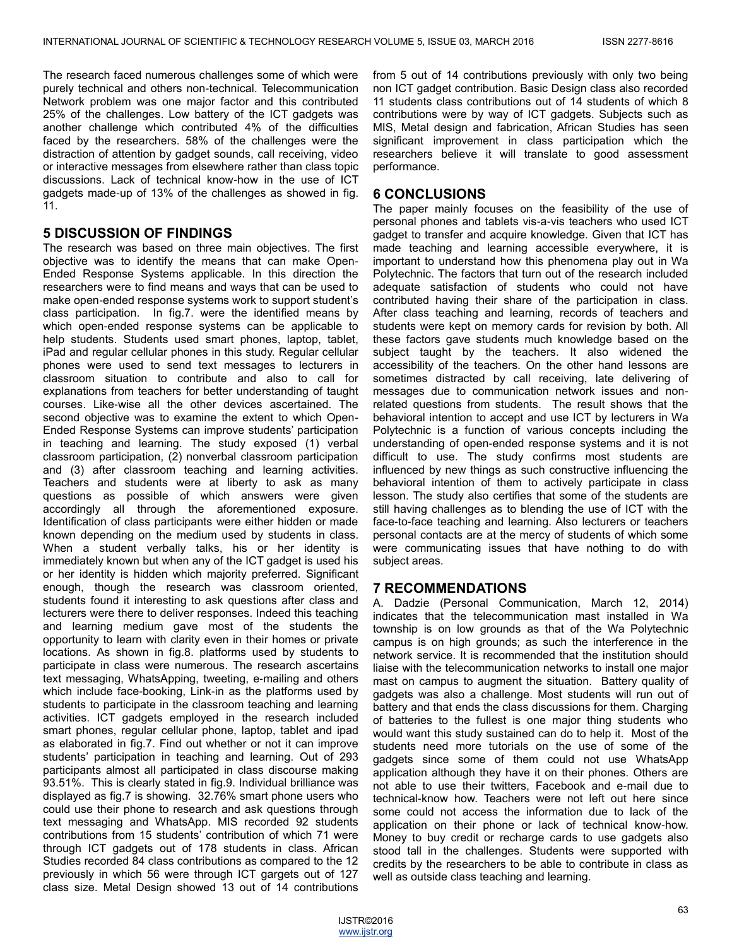The research faced numerous challenges some of which were purely technical and others non-technical. Telecommunication Network problem was one major factor and this contributed 25% of the challenges. Low battery of the ICT gadgets was another challenge which contributed 4% of the difficulties faced by the researchers. 58% of the challenges were the distraction of attention by gadget sounds, call receiving, video or interactive messages from elsewhere rather than class topic discussions. Lack of technical know-how in the use of ICT gadgets made-up of 13% of the challenges as showed in fig. 11.

# **5 DISCUSSION OF FINDINGS**

The research was based on three main objectives. The first objective was to identify the means that can make Open-Ended Response Systems applicable. In this direction the researchers were to find means and ways that can be used to make open-ended response systems work to support student's class participation. In fig.7. were the identified means by which open-ended response systems can be applicable to help students. Students used smart phones, laptop, tablet, iPad and regular cellular phones in this study. Regular cellular phones were used to send text messages to lecturers in classroom situation to contribute and also to call for explanations from teachers for better understanding of taught courses. Like-wise all the other devices ascertained. The second objective was to examine the extent to which Open-Ended Response Systems can improve students' participation in teaching and learning. The study exposed (1) verbal classroom participation, (2) nonverbal classroom participation and (3) after classroom teaching and learning activities. Teachers and students were at liberty to ask as many questions as possible of which answers were given accordingly all through the aforementioned exposure. Identification of class participants were either hidden or made known depending on the medium used by students in class. When a student verbally talks, his or her identity is immediately known but when any of the ICT gadget is used his or her identity is hidden which majority preferred. Significant enough, though the research was classroom oriented, students found it interesting to ask questions after class and lecturers were there to deliver responses. Indeed this teaching and learning medium gave most of the students the opportunity to learn with clarity even in their homes or private locations. As shown in fig.8. platforms used by students to participate in class were numerous. The research ascertains text messaging, WhatsApping, tweeting, e-mailing and others which include face-booking, Link-in as the platforms used by students to participate in the classroom teaching and learning activities. ICT gadgets employed in the research included smart phones, regular cellular phone, laptop, tablet and ipad as elaborated in fig.7. Find out whether or not it can improve students' participation in teaching and learning. Out of 293 participants almost all participated in class discourse making 93.51%. This is clearly stated in fig.9. Individual brilliance was displayed as fig.7 is showing. 32.76% smart phone users who could use their phone to research and ask questions through text messaging and WhatsApp. MIS recorded 92 students contributions from 15 students' contribution of which 71 were through ICT gadgets out of 178 students in class. African Studies recorded 84 class contributions as compared to the 12 previously in which 56 were through ICT gargets out of 127 class size. Metal Design showed 13 out of 14 contributions

from 5 out of 14 contributions previously with only two being non ICT gadget contribution. Basic Design class also recorded 11 students class contributions out of 14 students of which 8 contributions were by way of ICT gadgets. Subjects such as MIS, Metal design and fabrication, African Studies has seen significant improvement in class participation which the researchers believe it will translate to good assessment performance.

# **6 CONCLUSIONS**

The paper mainly focuses on the feasibility of the use of personal phones and tablets vis-a-vis teachers who used ICT gadget to transfer and acquire knowledge. Given that ICT has made teaching and learning accessible everywhere, it is important to understand how this phenomena play out in Wa Polytechnic. The factors that turn out of the research included adequate satisfaction of students who could not have contributed having their share of the participation in class. After class teaching and learning, records of teachers and students were kept on memory cards for revision by both. All these factors gave students much knowledge based on the subject taught by the teachers. It also widened the accessibility of the teachers. On the other hand lessons are sometimes distracted by call receiving, late delivering of messages due to communication network issues and nonrelated questions from students. The result shows that the behavioral intention to accept and use ICT by lecturers in Wa Polytechnic is a function of various concepts including the understanding of open-ended response systems and it is not difficult to use. The study confirms most students are influenced by new things as such constructive influencing the behavioral intention of them to actively participate in class lesson. The study also certifies that some of the students are still having challenges as to blending the use of ICT with the face-to-face teaching and learning. Also lecturers or teachers personal contacts are at the mercy of students of which some were communicating issues that have nothing to do with subject areas.

# **7 RECOMMENDATIONS**

A. Dadzie (Personal Communication, March 12, 2014) indicates that the telecommunication mast installed in Wa township is on low grounds as that of the Wa Polytechnic campus is on high grounds; as such the interference in the network service. It is recommended that the institution should liaise with the telecommunication networks to install one major mast on campus to augment the situation. Battery quality of gadgets was also a challenge. Most students will run out of battery and that ends the class discussions for them. Charging of batteries to the fullest is one major thing students who would want this study sustained can do to help it. Most of the students need more tutorials on the use of some of the gadgets since some of them could not use WhatsApp application although they have it on their phones. Others are not able to use their twitters, Facebook and e-mail due to technical-know how. Teachers were not left out here since some could not access the information due to lack of the application on their phone or lack of technical know-how. Money to buy credit or recharge cards to use gadgets also stood tall in the challenges. Students were supported with credits by the researchers to be able to contribute in class as well as outside class teaching and learning.